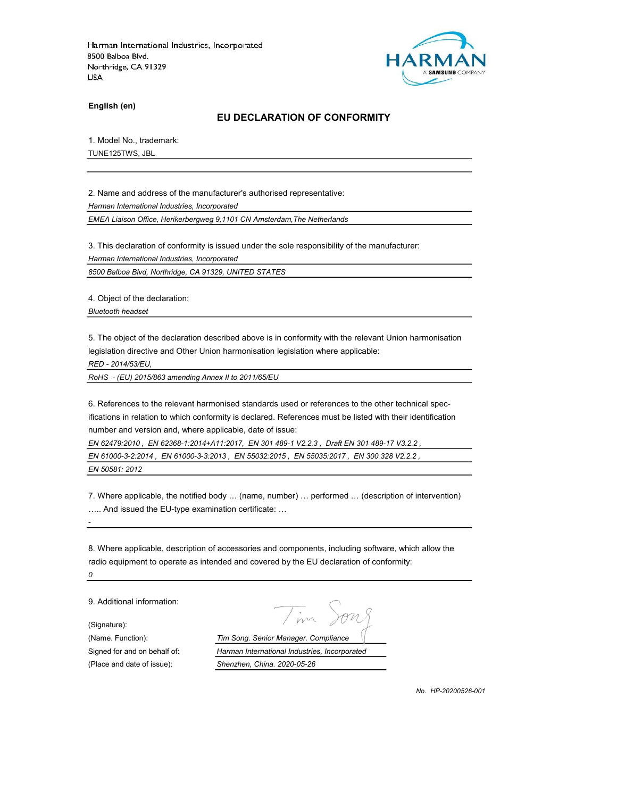

English (en)

### EU DECLARATION OF CONFORMITY

1. Model No., trademark:

TUNE125TWS, JBL

2. Name and address of the manufacturer's authorised representative:

Harman International Industries, Incorporated

EMEA Liaison Office, Herikerbergweg 9,1101 CN Amsterdam,The Netherlands

3. This declaration of conformity is issued under the sole responsibility of the manufacturer:

Harman International Industries, Incorporated

8500 Balboa Blvd, Northridge, CA 91329, UNITED STATES

4. Object of the declaration:

Bluetooth headset

5. The object of the declaration described above is in conformity with the relevant Union harmonisation legislation directive and Other Union harmonisation legislation where applicable:

RED - 2014/53/EU,

RoHS - (EU) 2015/863 amending Annex II to 2011/65/EU

6. References to the relevant harmonised standards used or references to the other technical specifications in relation to which conformity is declared. References must be listed with their identification number and version and, where applicable, date of issue:

EN 62479:2010 , EN 62368-1:2014+A11:2017, EN 301 489-1 V2.2.3 , Draft EN 301 489-17 V3.2.2 ,

EN 61000-3-2:2014 , EN 61000-3-3:2013 , EN 55032:2015 , EN 55035:2017 , EN 300 328 V2.2.2 , EN 50581: 2012

7. Where applicable, the notified body … (name, number) … performed … (description of intervention) ….. And issued the EU-type examination certificate: …

8. Where applicable, description of accessories and components, including software, which allow the radio equipment to operate as intended and covered by the EU declaration of conformity: 0

9. Additional information:

(Signature):

-

(Place and date of issue): Shenzhen, China. 2020-05-26

(Name. Function): Tim Song. Senior Manager. Compliance Signed for and on behalf of: Harman International Industries, Incorporated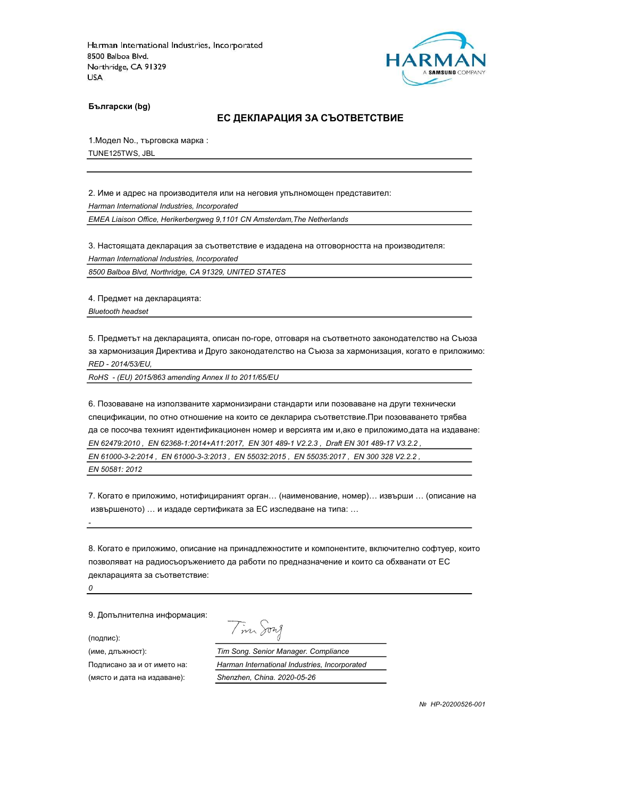

Български (bg)

#### ЕС ДЕКЛАРАЦИЯ ЗА СЪОТВЕТСТВИЕ

1.Модел No., търговска марка : TUNE125TWS, JBL

2. Име и адрес на производителя или на неговия упълномощен представител: Harman International Industries, Incorporated EMEA Liaison Office, Herikerbergweg 9,1101 CN Amsterdam,The Netherlands

3. Настоящата декларация за съответствие е издадена на отговорността на производителя: Harman International Industries, Incorporated

8500 Balboa Blvd, Northridge, CA 91329, UNITED STATES

4. Предмет на декларацията: Bluetooth headset

5. Предметът на декларацията, описан по-горе, отговаря на съответното законодателство на Съюза за хармонизация Директива и Друго законодателство на Съюза за хармонизация, когато е приложимо: RED - 2014/53/EU,

RoHS - (EU) 2015/863 amending Annex II to 2011/65/EU

6. Позоваване на използваните хармонизирани стандарти или позоваване на други технически спецификации, по отно отношение на които се декларира съответствие.При позоваването трябва да се посочва техният идентификационен номер и версията им и,ако е приложимо,дата на издаване: EN 62479:2010 , EN 62368-1:2014+A11:2017, EN 301 489-1 V2.2.3 , Draft EN 301 489-17 V3.2.2 ,

EN 61000-3-2:2014 , EN 61000-3-3:2013 , EN 55032:2015 , EN 55035:2017 , EN 300 328 V2.2.2 ,

EN 50581: 2012

7. Когато е приложимо, нотифицираният орган… (наименование, номер)… извърши … (описание на извършеното) … и издаде сертификата за ЕС изследване на типа: …

8. Когато е приложимо, описание на принадлежностите и компонентите, включително софтуер, които позволяват на радиосъоръжението да работи по предназначение и които са обхванати от ЕС декларацията за съответствие:

0

-

9. Допълнителна информация:

(подпис):

Tim Song

(име, длъжност): Tim Song. Senior Manager. Compliance

Подписано за и от името на: Harman International Industries, Incorporated (място и дата на издаване): Shenzhen, China. 2020-05-26

№ HP-20200526-001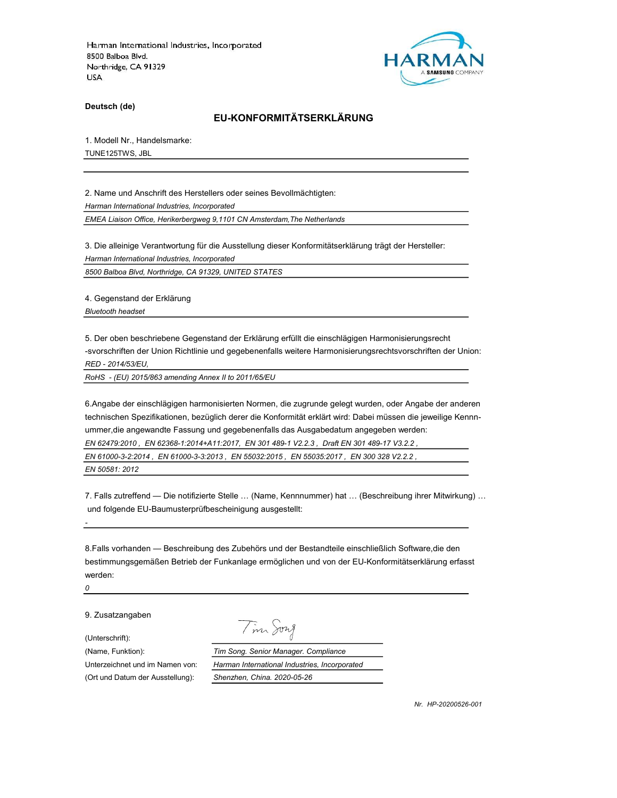

Deutsch (de)

# EU-KONFORMITÄTSERKLÄRUNG

1. Modell Nr., Handelsmarke:

TUNE125TWS, JBL

2. Name und Anschrift des Herstellers oder seines Bevollmächtigten: Harman International Industries, Incorporated

EMEA Liaison Office, Herikerbergweg 9,1101 CN Amsterdam,The Netherlands

3. Die alleinige Verantwortung für die Ausstellung dieser Konformitätserklärung trägt der Hersteller: Harman International Industries, Incorporated

8500 Balboa Blvd, Northridge, CA 91329, UNITED STATES

4. Gegenstand der Erklärung Bluetooth headset

5. Der oben beschriebene Gegenstand der Erklärung erfüllt die einschlägigen Harmonisierungsrecht -svorschriften der Union Richtlinie und gegebenenfalls weitere Harmonisierungsrechtsvorschriften der Union: RED - 2014/53/EU,

RoHS - (EU) 2015/863 amending Annex II to 2011/65/EU

6.Angabe der einschlägigen harmonisierten Normen, die zugrunde gelegt wurden, oder Angabe der anderen technischen Spezifikationen, bezüglich derer die Konformität erklärt wird: Dabei müssen die jeweilige Kennnummer,die angewandte Fassung und gegebenenfalls das Ausgabedatum angegeben werden: EN 62479:2010 , EN 62368-1:2014+A11:2017, EN 301 489-1 V2.2.3 , Draft EN 301 489-17 V3.2.2 ,

EN 61000-3-2:2014 , EN 61000-3-3:2013 , EN 55032:2015 , EN 55035:2017 , EN 300 328 V2.2.2 ,

EN 50581: 2012

7. Falls zutreffend — Die notifizierte Stelle … (Name, Kennnummer) hat … (Beschreibung ihrer Mitwirkung) … und folgende EU-Baumusterprüfbescheinigung ausgestellt:

8.Falls vorhanden — Beschreibung des Zubehörs und der Bestandteile einschließlich Software,die den bestimmungsgemäßen Betrieb der Funkanlage ermöglichen und von der EU-Konformitätserklärung erfasst werden:

0

-

9. Zusatzangaben

(Unterschrift):

Tim Song

(Name, Funktion): Tim Song. Senior Manager. Compliance

Unterzeichnet und im Namen von: Harman International Industries, Incorporated (Ort und Datum der Ausstellung): Shenzhen, China. 2020-05-26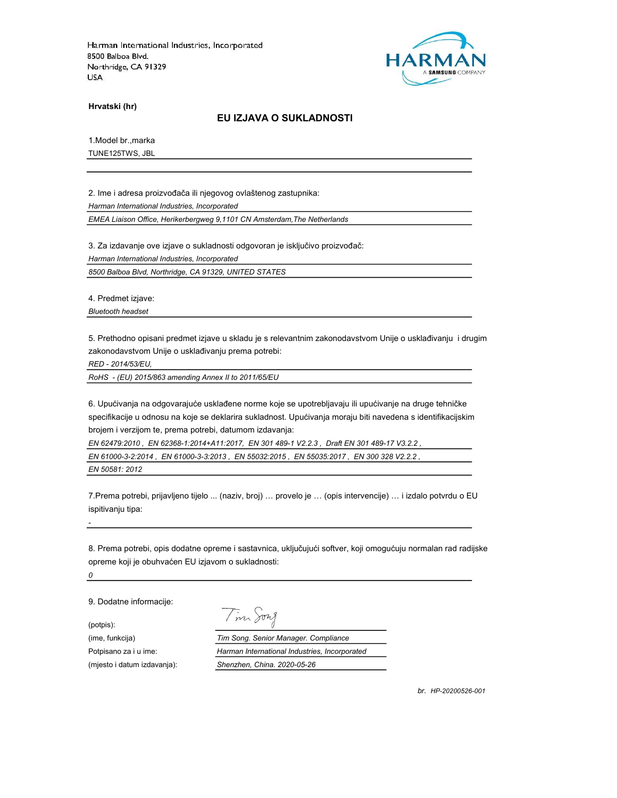

Hrvatski (hr)

### EU IZJAVA O SUKLADNOSTI

1.Model br.,marka

TUNE125TWS, JBL

2. Ime i adresa proizvođača ili njegovog ovlaštenog zastupnika: Harman International Industries, Incorporated EMEA Liaison Office, Herikerbergweg 9,1101 CN Amsterdam,The Netherlands

3. Za izdavanje ove izjave o sukladnosti odgovoran je isključivo proizvođač:

Harman International Industries, Incorporated

8500 Balboa Blvd, Northridge, CA 91329, UNITED STATES

4. Predmet izjave:

Bluetooth headset

5. Prethodno opisani predmet izjave u skladu je s relevantnim zakonodavstvom Unije o usklađivanju i drugim zakonodavstvom Unije o usklađivanju prema potrebi:

RED - 2014/53/EU,

RoHS - (EU) 2015/863 amending Annex II to 2011/65/EU

6. Upućivanja na odgovarajuće usklađene norme koje se upotrebljavaju ili upućivanje na druge tehničke specifikacije u odnosu na koje se deklarira sukladnost. Upućivanja moraju biti navedena s identifikacijskim brojem i verzijom te, prema potrebi, datumom izdavanja:

EN 62479:2010 , EN 62368-1:2014+A11:2017, EN 301 489-1 V2.2.3 , Draft EN 301 489-17 V3.2.2 ,

EN 61000-3-2:2014 , EN 61000-3-3:2013 , EN 55032:2015 , EN 55035:2017 , EN 300 328 V2.2.2 ,

EN 50581: 2012

7.Prema potrebi, prijavljeno tijelo ... (naziv, broj) … provelo je … (opis intervencije) … i izdalo potvrdu o EU ispitivanju tipa:

8. Prema potrebi, opis dodatne opreme i sastavnica, uključujući softver, koji omogućuju normalan rad radijske opreme koji je obuhvaćen EU izjavom o sukladnosti:

0

-

9. Dodatne informacije:

(potpis): (mjesto i datum izdavanja): Shenzhen, China. 2020-05-26

Tim Song

(ime, funkcija) Tim Song. Senior Manager. Compliance Potpisano za i u ime: <br>
Harman International Industries, Incorporated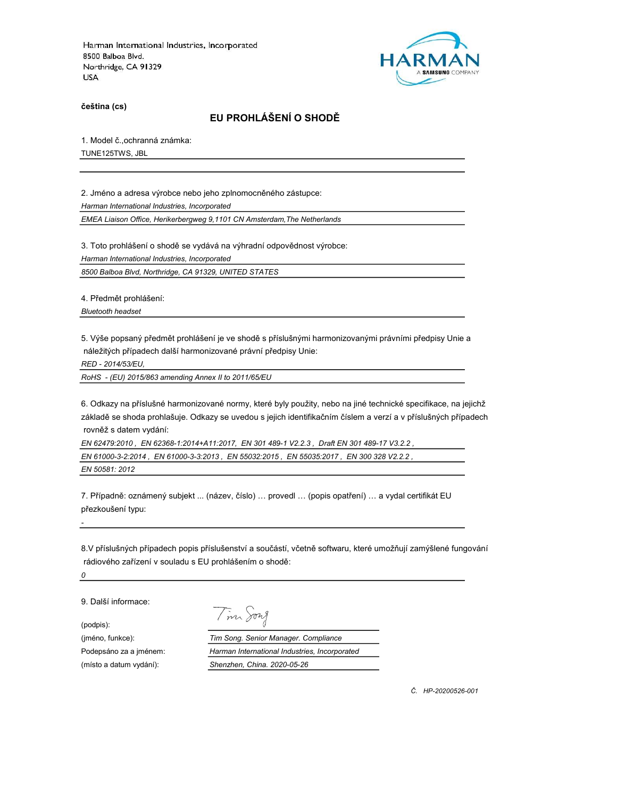

čeština (cs)

# EU PROHLÁŠENÍ O SHODĚ

1. Model č.,ochranná známka:

TUNE125TWS, JBL

2. Jméno a adresa výrobce nebo jeho zplnomocněného zástupce: Harman International Industries, Incorporated

EMEA Liaison Office, Herikerbergweg 9,1101 CN Amsterdam,The Netherlands

3. Toto prohlášení o shodě se vydává na výhradní odpovědnost výrobce: Harman International Industries, Incorporated

8500 Balboa Blvd, Northridge, CA 91329, UNITED STATES

4. Předmět prohlášení:

Bluetooth headset

5. Výše popsaný předmět prohlášení je ve shodě s příslušnými harmonizovanými právními předpisy Unie a náležitých případech další harmonizované právní předpisy Unie:

RED - 2014/53/EU,

RoHS - (EU) 2015/863 amending Annex II to 2011/65/EU

6. Odkazy na příslušné harmonizované normy, které byly použity, nebo na jiné technické specifikace, na jejichž základě se shoda prohlašuje. Odkazy se uvedou s jejich identifikačním číslem a verzí a v příslušných případech rovněž s datem vydání:

EN 62479:2010 , EN 62368-1:2014+A11:2017, EN 301 489-1 V2.2.3 , Draft EN 301 489-17 V3.2.2 , EN 61000-3-2:2014 , EN 61000-3-3:2013 , EN 55032:2015 , EN 55035:2017 , EN 300 328 V2.2.2 , EN 50581: 2012

7. Případně: oznámený subjekt ... (název, číslo) … provedl … (popis opatření) … a vydal certifikát EU přezkoušení typu:

8.V příslušných případech popis příslušenství a součástí, včetně softwaru, které umožňují zamýšlené fungování rádiového zařízení v souladu s EU prohlášením o shodě:

0

-

9. Další informace:

(podpis):

Tim Song

(jméno, funkce): Tim Song. Senior Manager. Compliance Podepsáno za a jménem: Harman International Industries, Incorporated (místo a datum vydání): Shenzhen, China. 2020-05-26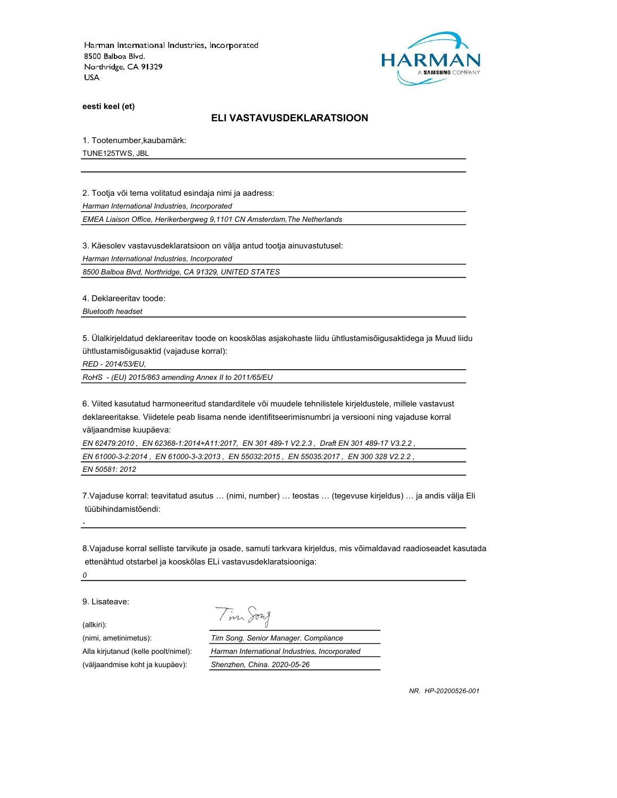

eesti keel (et)

### ELI VASTAVUSDEKLARATSIOON

1. Tootenumber,kaubamärk:

TUNE125TWS, JBL

2. Tootja või tema volitatud esindaja nimi ja aadress:

Harman International Industries, Incorporated

EMEA Liaison Office, Herikerbergweg 9,1101 CN Amsterdam,The Netherlands

3. Käesolev vastavusdeklaratsioon on välja antud tootja ainuvastutusel:

Harman International Industries, Incorporated

8500 Balboa Blvd, Northridge, CA 91329, UNITED STATES

4. Deklareeritav toode:

Bluetooth headset

5. Ülalkirjeldatud deklareeritav toode on kooskõlas asjakohaste liidu ühtlustamisõigusaktidega ja Muud liidu ühtlustamisõigusaktid (vajaduse korral):

RED - 2014/53/EU,

RoHS - (EU) 2015/863 amending Annex II to 2011/65/EU

6. Viited kasutatud harmoneeritud standarditele või muudele tehnilistele kirjeldustele, millele vastavust deklareeritakse. Viidetele peab lisama nende identifitseerimisnumbri ja versiooni ning vajaduse korral väljaandmise kuupäeva:

EN 62479:2010 , EN 62368-1:2014+A11:2017, EN 301 489-1 V2.2.3 , Draft EN 301 489-17 V3.2.2 ,

EN 61000-3-2:2014 , EN 61000-3-3:2013 , EN 55032:2015 , EN 55035:2017 , EN 300 328 V2.2.2 ,

EN 50581: 2012

7.Vajaduse korral: teavitatud asutus … (nimi, number) … teostas … (tegevuse kirjeldus) … ja andis välja Eli tüübihindamistõendi:

8.Vajaduse korral selliste tarvikute ja osade, samuti tarkvara kirjeldus, mis võimaldavad raadioseadet kasutada ettenähtud otstarbel ja kooskõlas ELi vastavusdeklaratsiooniga:

0

-

9. Lisateave:

(allkiri):

Tim Song

(nimi, ametinimetus): Tim Song. Senior Manager. Compliance Alla kirjutanud (kelle poolt/nimel): Harman International Industries, Incorporated (väljaandmise koht ja kuupäev): Shenzhen, China. 2020-05-26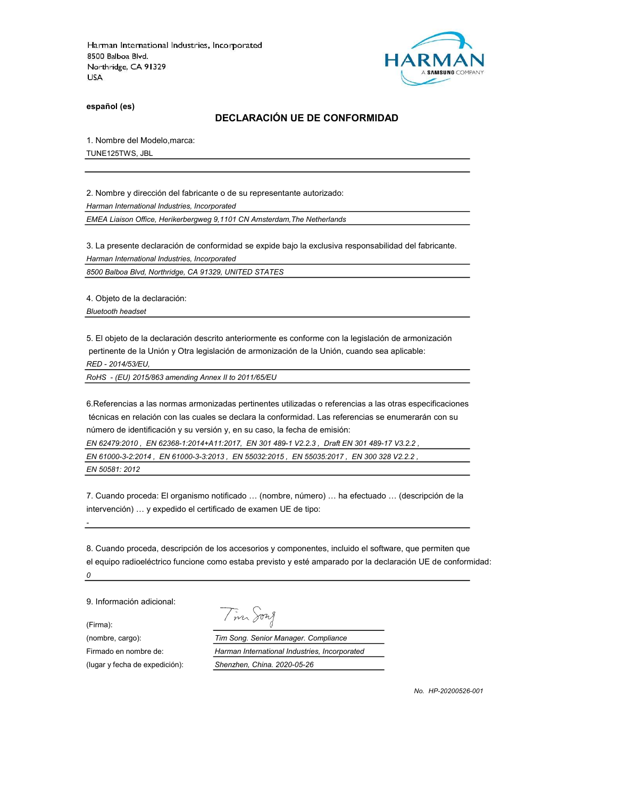

español (es)

### DECLARACIÓN UE DE CONFORMIDAD

1. Nombre del Modelo,marca:

TUNE125TWS, JBL

2. Nombre y dirección del fabricante o de su representante autorizado: Harman International Industries, Incorporated

EMEA Liaison Office, Herikerbergweg 9,1101 CN Amsterdam,The Netherlands

3. La presente declaración de conformidad se expide bajo la exclusiva responsabilidad del fabricante. Harman International Industries, Incorporated

8500 Balboa Blvd, Northridge, CA 91329, UNITED STATES

4. Objeto de la declaración:

Bluetooth headset

5. El objeto de la declaración descrito anteriormente es conforme con la legislación de armonización pertinente de la Unión y Otra legislación de armonización de la Unión, cuando sea aplicable: RED - 2014/53/EU,

RoHS - (EU) 2015/863 amending Annex II to 2011/65/EU

6.Referencias a las normas armonizadas pertinentes utilizadas o referencias a las otras especificaciones técnicas en relación con las cuales se declara la conformidad. Las referencias se enumerarán con su número de identificación y su versión y, en su caso, la fecha de emisión:

EN 62479:2010 , EN 62368-1:2014+A11:2017, EN 301 489-1 V2.2.3 , Draft EN 301 489-17 V3.2.2 ,

| EN 61000-3-2:2014,EN 61000-3-3:2013,EN 55032:2015,EN 55035:2017,EN 300 328 V2.2.2, |  |  |
|------------------------------------------------------------------------------------|--|--|
| EN 50581: 2012                                                                     |  |  |

7. Cuando proceda: El organismo notificado … (nombre, número) … ha efectuado … (descripción de la intervención) … y expedido el certificado de examen UE de tipo:

8. Cuando proceda, descripción de los accesorios y componentes, incluido el software, que permiten que el equipo radioeléctrico funcione como estaba previsto y esté amparado por la declaración UE de conformidad: 0

9. Información adicional:

-

(Firma):

Tim Song

(nombre, cargo): Tim Song. Senior Manager. Compliance Firmado en nombre de: Harman International Industries, Incorporated (lugar y fecha de expedición): Shenzhen, China. 2020-05-26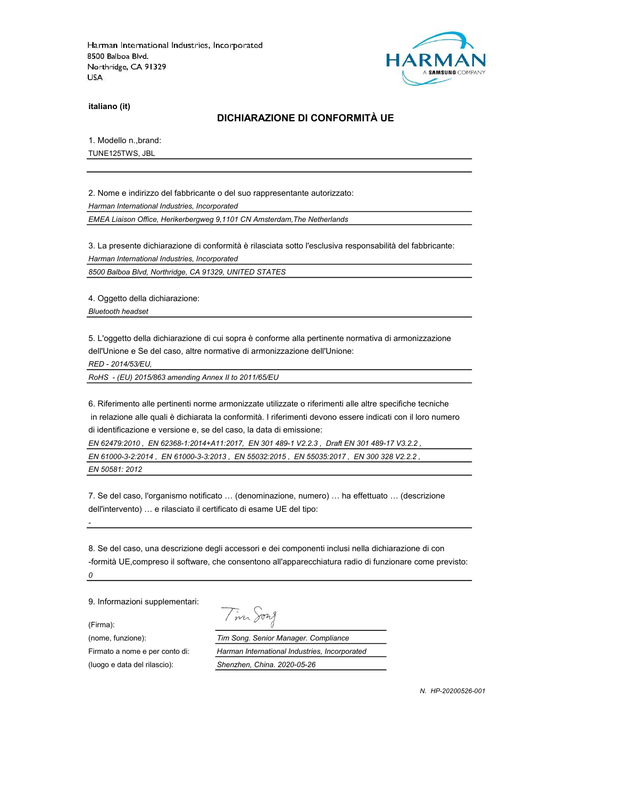

italiano (it)

#### DICHIARAZIONE DI CONFORMITÀ UE

1. Modello n.,brand:

TUNE125TWS, JBL

2. Nome e indirizzo del fabbricante o del suo rappresentante autorizzato: Harman International Industries, Incorporated EMEA Liaison Office, Herikerbergweg 9,1101 CN Amsterdam,The Netherlands

3. La presente dichiarazione di conformità è rilasciata sotto l'esclusiva responsabilità del fabbricante: Harman International Industries, Incorporated

8500 Balboa Blvd, Northridge, CA 91329, UNITED STATES

4. Oggetto della dichiarazione: Bluetooth headset

5. L'oggetto della dichiarazione di cui sopra è conforme alla pertinente normativa di armonizzazione dell'Unione e Se del caso, altre normative di armonizzazione dell'Unione:

RED - 2014/53/EU,

RoHS - (EU) 2015/863 amending Annex II to 2011/65/EU

6. Riferimento alle pertinenti norme armonizzate utilizzate o riferimenti alle altre specifiche tecniche in relazione alle quali è dichiarata la conformità. I riferimenti devono essere indicati con il loro numero di identificazione e versione e, se del caso, la data di emissione:

EN 62479:2010 , EN 62368-1:2014+A11:2017, EN 301 489-1 V2.2.3 , Draft EN 301 489-17 V3.2.2 ,

EN 61000-3-2:2014 , EN 61000-3-3:2013 , EN 55032:2015 , EN 55035:2017 , EN 300 328 V2.2.2 ,

EN 50581: 2012

7. Se del caso, l'organismo notificato … (denominazione, numero) … ha effettuato … (descrizione dell'intervento) … e rilasciato il certificato di esame UE del tipo:

8. Se del caso, una descrizione degli accessori e dei componenti inclusi nella dichiarazione di con -formità UE,compreso il software, che consentono all'apparecchiatura radio di funzionare come previsto: 0

9. Informazioni supplementari:

(Firma):

-

(luogo e data del rilascio): Shenzhen, China. 2020-05-26

Tim Song

(nome, funzione): Tim Song. Senior Manager. Compliance Firmato a nome e per conto di: Harman International Industries, Incorporated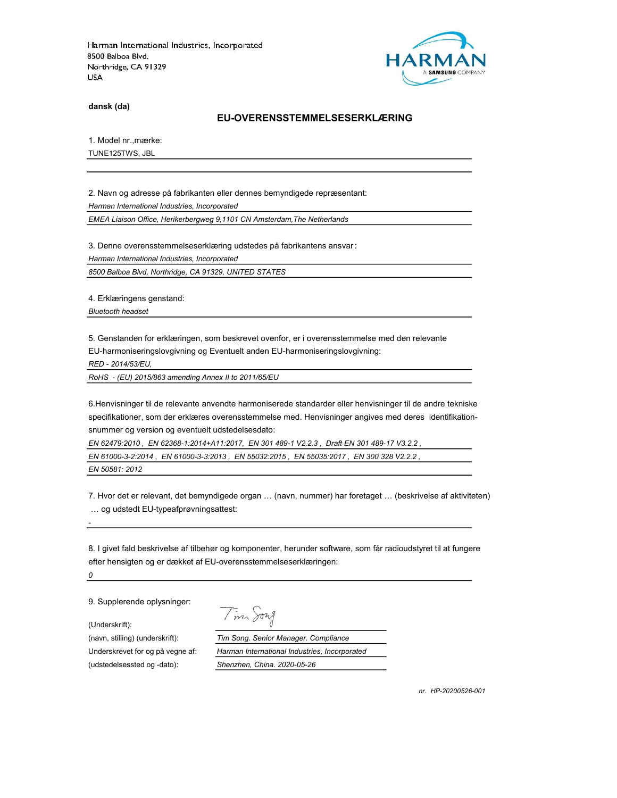

dansk (da)

### EU-OVERENSSTEMMELSESERKLÆRING

1. Model nr.,mærke:

TUNE125TWS, JBL

2. Navn og adresse på fabrikanten eller dennes bemyndigede repræsentant: Harman International Industries, Incorporated EMEA Liaison Office, Herikerbergweg 9,1101 CN Amsterdam,The Netherlands

3. Denne overensstemmelseserklæring udstedes på fabrikantens ansvar:

Harman International Industries, Incorporated

8500 Balboa Blvd, Northridge, CA 91329, UNITED STATES

4. Erklæringens genstand:

Bluetooth headset

5. Genstanden for erklæringen, som beskrevet ovenfor, er i overensstemmelse med den relevante EU-harmoniseringslovgivning og Eventuelt anden EU-harmoniseringslovgivning:

RED - 2014/53/EU,

RoHS - (EU) 2015/863 amending Annex II to 2011/65/EU

6.Henvisninger til de relevante anvendte harmoniserede standarder eller henvisninger til de andre tekniske specifikationer, som der erklæres overensstemmelse med. Henvisninger angives med deres identifikationsnummer og version og eventuelt udstedelsesdato:

EN 62479:2010 , EN 62368-1:2014+A11:2017, EN 301 489-1 V2.2.3 , Draft EN 301 489-17 V3.2.2 ,

EN 61000-3-2:2014 , EN 61000-3-3:2013 , EN 55032:2015 , EN 55035:2017 , EN 300 328 V2.2.2 ,

EN 50581: 2012

7. Hvor det er relevant, det bemyndigede organ … (navn, nummer) har foretaget … (beskrivelse af aktiviteten) … og udstedt EU-typeafprøvningsattest:

8. I givet fald beskrivelse af tilbehør og komponenter, herunder software, som får radioudstyret til at fungere efter hensigten og er dækket af EU-overensstemmelseserklæringen:

0

-

9. Supplerende oplysninger:

(Underskrift):

(udstedelsessted og -dato): Shenzhen, China. 2020-05-26

Tim Song

(navn, stilling) (underskrift): Tim Song. Senior Manager. Compliance Underskrevet for og på vegne af: Harman International Industries, Incorporated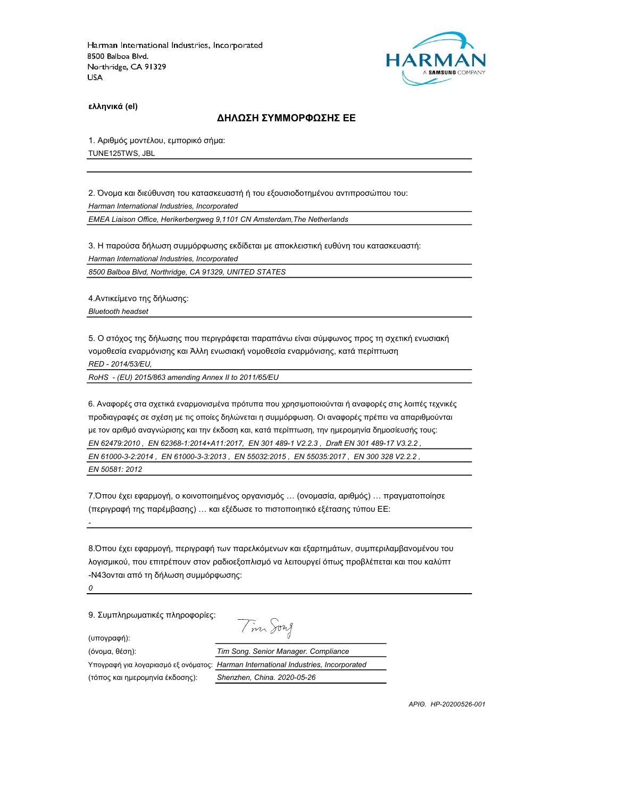

ελληνικά (el)

## ΔΗΛΩΣΗ ΣΥΜΜΟΡΦΩΣΗΣ ΕΕ

1. Αριθμός μοντέλου, εμπορικό σήμα: TUNE125TWS, JBL

2. Όνομα και διεύθυνση του κατασκευαστή ή του εξουσιοδοτημένου αντιπροσώπου του: Harman International Industries, Incorporated

EMEA Liaison Office, Herikerbergweg 9,1101 CN Amsterdam,The Netherlands

3. Η παρούσα δήλωση συμμόρφωσης εκδίδεται με αποκλειστική ευθύνη του κατασκευαστή: Harman International Industries, Incorporated

8500 Balboa Blvd, Northridge, CA 91329, UNITED STATES

4.Αντικείμενο της δήλωσης: Bluetooth headset

5. Ο στόχος της δήλωσης που περιγράφεται παραπάνω είναι σύμφωνος προς τη σχετική ενωσιακή νομοθεσία εναρμόνισης και Άλλη ενωσιακή νομοθεσία εναρμόνισης, κατά περίπτωση RED - 2014/53/EU,

RoHS - (EU) 2015/863 amending Annex II to 2011/65/EU

6. Αναφορές στα σχετικά εναρμονισμένα πρότυπα που χρησιμοποιούνται ή αναφορές στις λοιπές τεχνικές προδιαγραφές σε σχέση με τις οποίες δηλώνεται η συμμόρφωση. Οι αναφορές πρέπει να απαριθμούνται με τον αριθμό αναγνώρισης και την έκδοση και, κατά περίπτωση, την ημερομηνία δημοσίευσής τους: EN 62479:2010 , EN 62368-1:2014+A11:2017, EN 301 489-1 V2.2.3 , Draft EN 301 489-17 V3.2.2 , EN 61000-3-2:2014 , EN 61000-3-3:2013 , EN 55032:2015 , EN 55035:2017 , EN 300 328 V2.2.2 ,

EN 50581: 2012

-

0

7.Όπου έχει εφαρμογή, ο κοινοποιημένος οργανισμός … (ονομασία, αριθμός) … πραγματοποίησε (περιγραφή της παρέμβασης) … και εξέδωσε το πιστοποιητικό εξέτασης τύπου ΕΕ:

8.Όπου έχει εφαρμογή, περιγραφή των παρελκόμενων και εξαρτημάτων, συμπεριλαμβανομένου του λογισμικού, που επιτρέπουν στον ραδιοεξοπλισμό να λειτουργεί όπως προβλέπεται και που καλύπτ -N43ονται από τη δήλωση συμμόρφωσης:

9. Συμπληρωματικές πληροφορίες:

Tim Song

(υπογραφή):

(όνομα, θέση): Tim Song. Senior Manager. Compliance Υπογραφή για λογαριασμό εξ ονόματος: Harman International Industries, Incorporated (τόπος και ημερομηνία έκδοσης): Shenzhen, China. 2020-05-26

ΑΡΙΘ. HP-20200526-001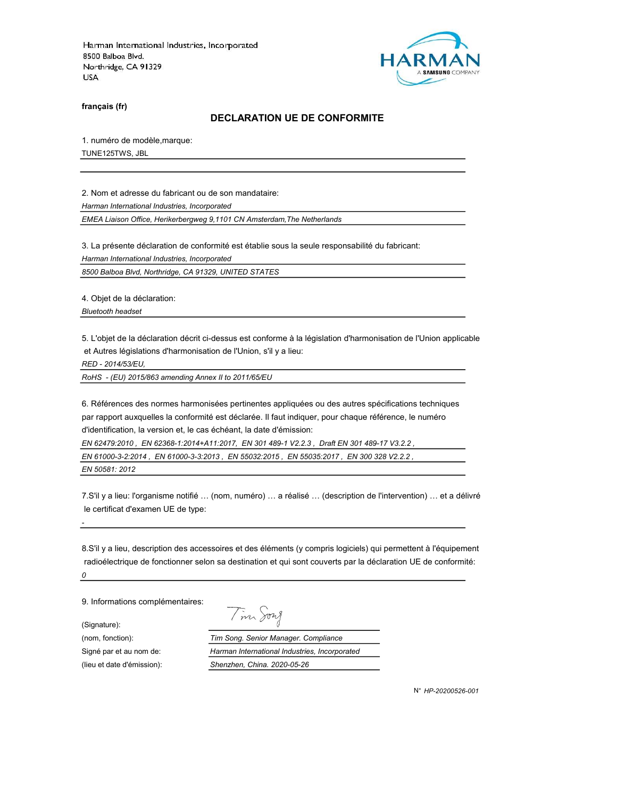

français (fr)

### DECLARATION UE DE CONFORMITE

1. numéro de modèle,marque:

TUNE125TWS, JBL

2. Nom et adresse du fabricant ou de son mandataire:

Harman International Industries, Incorporated

EMEA Liaison Office, Herikerbergweg 9,1101 CN Amsterdam,The Netherlands

3. La présente déclaration de conformité est établie sous la seule responsabilité du fabricant:

Harman International Industries, Incorporated

8500 Balboa Blvd, Northridge, CA 91329, UNITED STATES

4. Objet de la déclaration:

Bluetooth headset

5. L'objet de la déclaration décrit ci-dessus est conforme à la législation d'harmonisation de l'Union applicable et Autres législations d'harmonisation de l'Union, s'il y a lieu:

RED - 2014/53/EU,

RoHS - (EU) 2015/863 amending Annex II to 2011/65/EU

6. Références des normes harmonisées pertinentes appliquées ou des autres spécifications techniques par rapport auxquelles la conformité est déclarée. Il faut indiquer, pour chaque référence, le numéro d'identification, la version et, le cas échéant, la date d'émission:

EN 62479:2010 , EN 62368-1:2014+A11:2017, EN 301 489-1 V2.2.3 , Draft EN 301 489-17 V3.2.2 ,

EN 61000-3-2:2014 , EN 61000-3-3:2013 , EN 55032:2015 , EN 55035:2017 , EN 300 328 V2.2.2 ,

EN 50581: 2012

-

7.S'il y a lieu: l'organisme notifié … (nom, numéro) … a réalisé … (description de l'intervention) … et a délivré le certificat d'examen UE de type:

8.S'il y a lieu, description des accessoires et des éléments (y compris logiciels) qui permettent à l'équipement radioélectrique de fonctionner selon sa destination et qui sont couverts par la déclaration UE de conformité: 0

9. Informations complémentaires:

(Signature):

Tim Song

(nom, fonction): Tim Song. Senior Manager. Compliance Signé par et au nom de: Harman International Industries, Incorporated (lieu et date d'émission): Shenzhen, China. 2020-05-26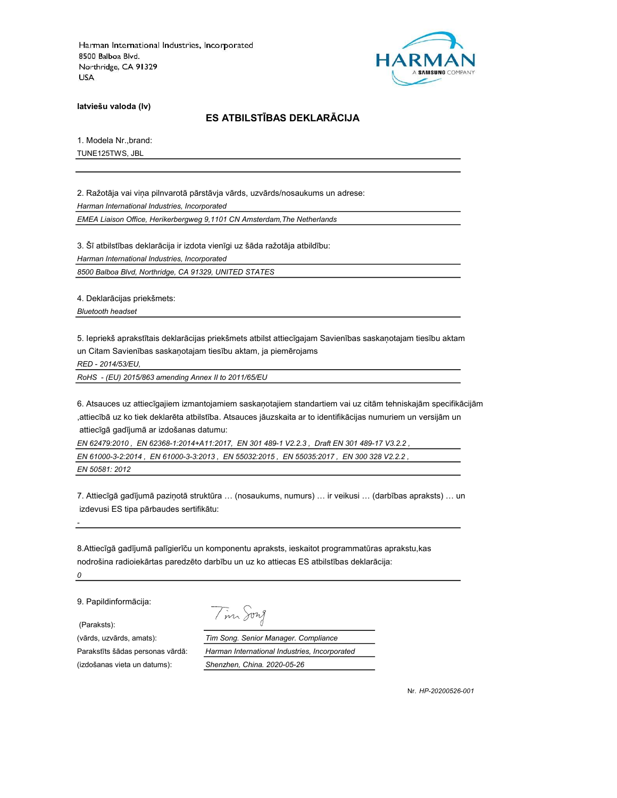

latviešu valoda (lv)

# ES ATBILSTĪBAS DEKLARĀCIJA

1. Modela Nr.,brand:

TUNE125TWS, JBL

2. Ražotāja vai viņa pilnvarotā pārstāvja vārds, uzvārds/nosaukums un adrese: Harman International Industries, Incorporated

EMEA Liaison Office, Herikerbergweg 9,1101 CN Amsterdam,The Netherlands

3. Šī atbilstības deklarācija ir izdota vienīgi uz šāda ražotāja atbildību:

Harman International Industries, Incorporated

8500 Balboa Blvd, Northridge, CA 91329, UNITED STATES

4. Deklarācijas priekšmets:

Bluetooth headset

5. Iepriekš aprakstītais deklarācijas priekšmets atbilst attiecīgajam Savienības saskaņotajam tiesību aktam un Citam Savienības saskaņotajam tiesību aktam, ja piemērojams

RED - 2014/53/EU,

RoHS - (EU) 2015/863 amending Annex II to 2011/65/EU

6. Atsauces uz attiecīgajiem izmantojamiem saskaņotajiem standartiem vai uz citām tehniskajām specifikācijām ,attiecībā uz ko tiek deklarēta atbilstība. Atsauces jāuzskaita ar to identifikācijas numuriem un versijām un attiecīgā gadījumā ar izdošanas datumu:

EN 62479:2010 , EN 62368-1:2014+A11:2017, EN 301 489-1 V2.2.3 , Draft EN 301 489-17 V3.2.2 ,

EN 61000-3-2:2014 , EN 61000-3-3:2013 , EN 55032:2015 , EN 55035:2017 , EN 300 328 V2.2.2 , EN 50581: 2012

7. Attiecīgā gadījumā paziņotā struktūra … (nosaukums, numurs) … ir veikusi … (darbības apraksts) … un izdevusi ES tipa pārbaudes sertifikātu:

8.Attiecīgā gadījumā palīgierīču un komponentu apraksts, ieskaitot programmatūras aprakstu,kas nodrošina radioiekārtas paredzēto darbību un uz ko attiecas ES atbilstības deklarācija: 0

9. Papildinformācija:

(Paraksts):

-

Tim Song

(vārds, uzvārds, amats): Tim Song. Senior Manager. Compliance Parakstīts šādas personas vārdā: Harman International Industries, Incorporated (izdošanas vieta un datums): Shenzhen, China. 2020-05-26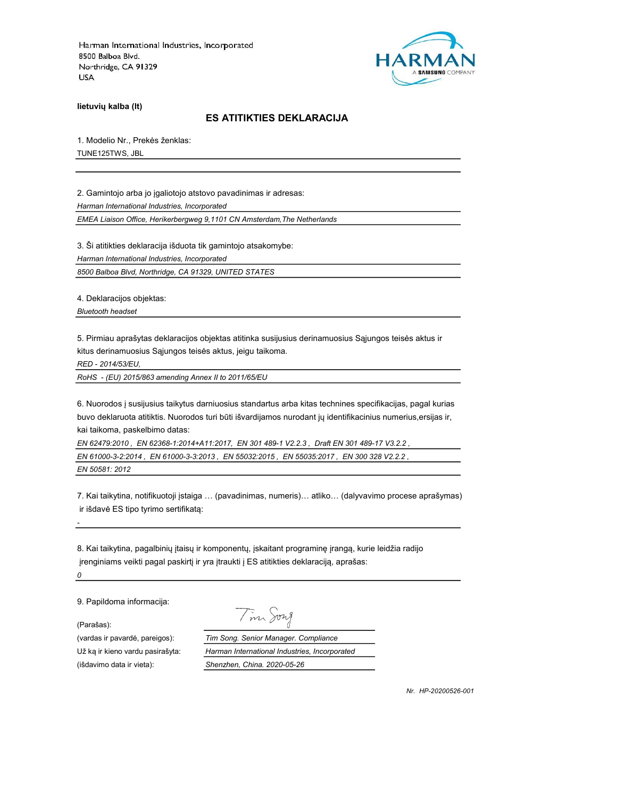

lietuvių kalba (lt)

## ES ATITIKTIES DEKLARACIJA

1. Modelio Nr., Prekės ženklas:

TUNE125TWS, JBL

2. Gamintojo arba jo įgaliotojo atstovo pavadinimas ir adresas: Harman International Industries, Incorporated

EMEA Liaison Office, Herikerbergweg 9,1101 CN Amsterdam,The Netherlands

3. Ši atitikties deklaracija išduota tik gamintojo atsakomybe:

Harman International Industries, Incorporated

8500 Balboa Blvd, Northridge, CA 91329, UNITED STATES

4. Deklaracijos objektas:

Bluetooth headset

5. Pirmiau aprašytas deklaracijos objektas atitinka susijusius derinamuosius Sąjungos teisės aktus ir kitus derinamuosius Sąjungos teisės aktus, jeigu taikoma.

RED - 2014/53/EU,

RoHS - (EU) 2015/863 amending Annex II to 2011/65/EU

6. Nuorodos į susijusius taikytus darniuosius standartus arba kitas technines specifikacijas, pagal kurias buvo deklaruota atitiktis. Nuorodos turi būti išvardijamos nurodant jų identifikacinius numerius,ersijas ir, kai taikoma, paskelbimo datas:

EN 62479:2010 , EN 62368-1:2014+A11:2017, EN 301 489-1 V2.2.3 , Draft EN 301 489-17 V3.2.2 , EN 61000-3-2:2014 , EN 61000-3-3:2013 , EN 55032:2015 , EN 55035:2017 , EN 300 328 V2.2.2 , EN 50581: 2012

7. Kai taikytina, notifikuotoji įstaiga … (pavadinimas, numeris)… atliko… (dalyvavimo procese aprašymas) ir išdavė ES tipo tyrimo sertifikatą:

8. Kai taikytina, pagalbinių įtaisų ir komponentų, įskaitant programinę įrangą, kurie leidžia radijo įrenginiams veikti pagal paskirtį ir yra įtraukti į ES atitikties deklaraciją, aprašas:  $\pmb{\mathit{o}}$ 

9. Papildoma informacija:

(Parašas):

-

(išdavimo data ir vieta): Shenzhen, China. 2020-05-26

Tim Song

(vardas ir pavardė, pareigos): Tim Song. Senior Manager. Compliance Už ką ir kieno vardu pasirašyta: Harman International Industries, Incorporated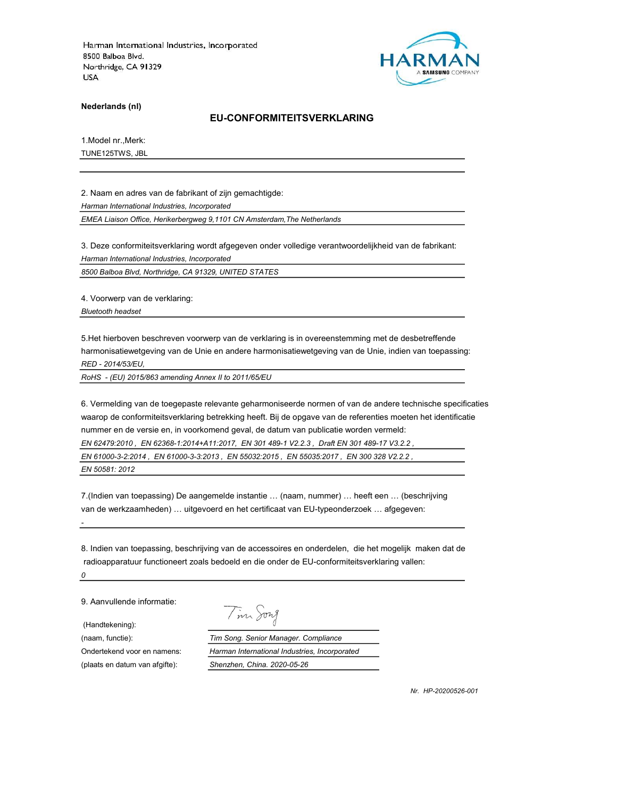

Nederlands (nl)

### EU-CONFORMITEITSVERKLARING

1.Model nr.,Merk:

TUNE125TWS, JBL

2. Naam en adres van de fabrikant of zijn gemachtigde: Harman International Industries, Incorporated

EMEA Liaison Office, Herikerbergweg 9,1101 CN Amsterdam,The Netherlands

3. Deze conformiteitsverklaring wordt afgegeven onder volledige verantwoordelijkheid van de fabrikant: Harman International Industries, Incorporated

8500 Balboa Blvd, Northridge, CA 91329, UNITED STATES

4. Voorwerp van de verklaring: Bluetooth headset

5.Het hierboven beschreven voorwerp van de verklaring is in overeenstemming met de desbetreffende harmonisatiewetgeving van de Unie en andere harmonisatiewetgeving van de Unie, indien van toepassing: RED - 2014/53/EU,

RoHS - (EU) 2015/863 amending Annex II to 2011/65/EU

6. Vermelding van de toegepaste relevante geharmoniseerde normen of van de andere technische specificaties waarop de conformiteitsverklaring betrekking heeft. Bij de opgave van de referenties moeten het identificatie nummer en de versie en, in voorkomend geval, de datum van publicatie worden vermeld:

EN 62479:2010 , EN 62368-1:2014+A11:2017, EN 301 489-1 V2.2.3 , Draft EN 301 489-17 V3.2.2 ,

EN 61000-3-2:2014 , EN 61000-3-3:2013 , EN 55032:2015 , EN 55035:2017 , EN 300 328 V2.2.2 , EN 50581: 2012

7.(Indien van toepassing) De aangemelde instantie … (naam, nummer) … heeft een … (beschrijving van de werkzaamheden) … uitgevoerd en het certificaat van EU-typeonderzoek … afgegeven:

8. Indien van toepassing, beschrijving van de accessoires en onderdelen, die het mogelijk maken dat de radioapparatuur functioneert zoals bedoeld en die onder de EU-conformiteitsverklaring vallen: 0

9. Aanvullende informatie:

(Handtekening):

-

Tim Song

(naam, functie): Tim Song. Senior Manager. Compliance Ondertekend voor en namens: Harman International Industries, Incorporated (plaats en datum van afgifte): Shenzhen, China. 2020-05-26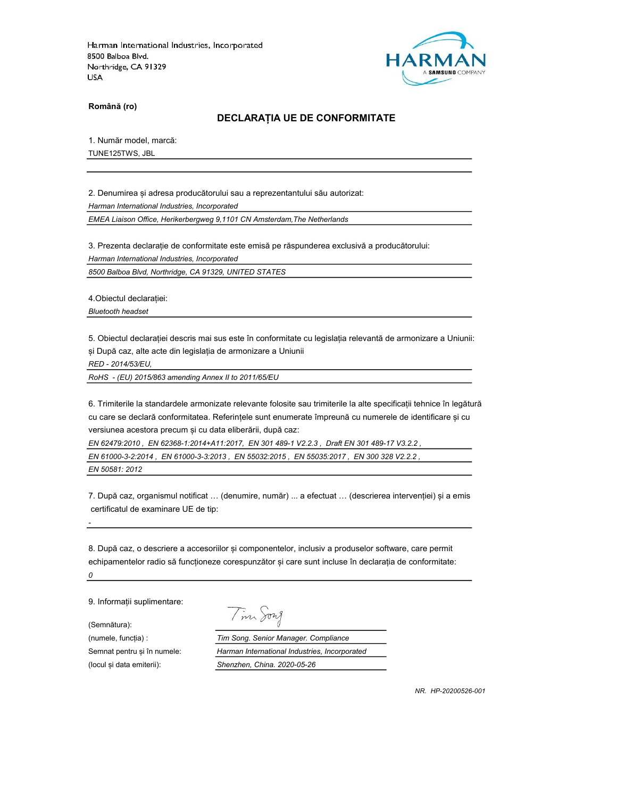

Română (ro)

#### DECLARAȚIA UE DE CONFORMITATE

1. Număr model, marcă:

TUNE125TWS, JBL

2. Denumirea și adresa producătorului sau a reprezentantului său autorizat: Harman International Industries, Incorporated

EMEA Liaison Office, Herikerbergweg 9,1101 CN Amsterdam,The Netherlands

3. Prezenta declarație de conformitate este emisă pe răspunderea exclusivă a producătorului: Harman International Industries, Incorporated

8500 Balboa Blvd, Northridge, CA 91329, UNITED STATES

4.Obiectul declarației: Bluetooth headset

5. Obiectul declarației descris mai sus este în conformitate cu legislația relevantă de armonizare a Uniunii: și După caz, alte acte din legislația de armonizare a Uniunii

RED - 2014/53/EU,

-

RoHS - (EU) 2015/863 amending Annex II to 2011/65/EU

6. Trimiterile la standardele armonizate relevante folosite sau trimiterile la alte specificații tehnice în legătură cu care se declară conformitatea. Referințele sunt enumerate împreună cu numerele de identificare și cu versiunea acestora precum și cu data eliberării, după caz:

EN 62479:2010 , EN 62368-1:2014+A11:2017, EN 301 489-1 V2.2.3 , Draft EN 301 489-17 V3.2.2 ,

EN 61000-3-2:2014 , EN 61000-3-3:2013 , EN 55032:2015 , EN 55035:2017 , EN 300 328 V2.2.2 , EN 50581: 2012

7. După caz, organismul notificat … (denumire, număr) ... a efectuat … (descrierea intervenției) și a emis certificatul de examinare UE de tip:

8. După caz, o descriere a accesoriilor și componentelor, inclusiv a produselor software, care permit echipamentelor radio să funcționeze corespunzător și care sunt incluse în declarația de conformitate: 0

9. Informații suplimentare:

(Semnătura):

Tim Song

(numele, funcția) : Tim Song. Senior Manager. Compliance Semnat pentru și în numele: Harman International Industries, Incorporated (locul și data emiterii): Shenzhen, China. 2020-05-26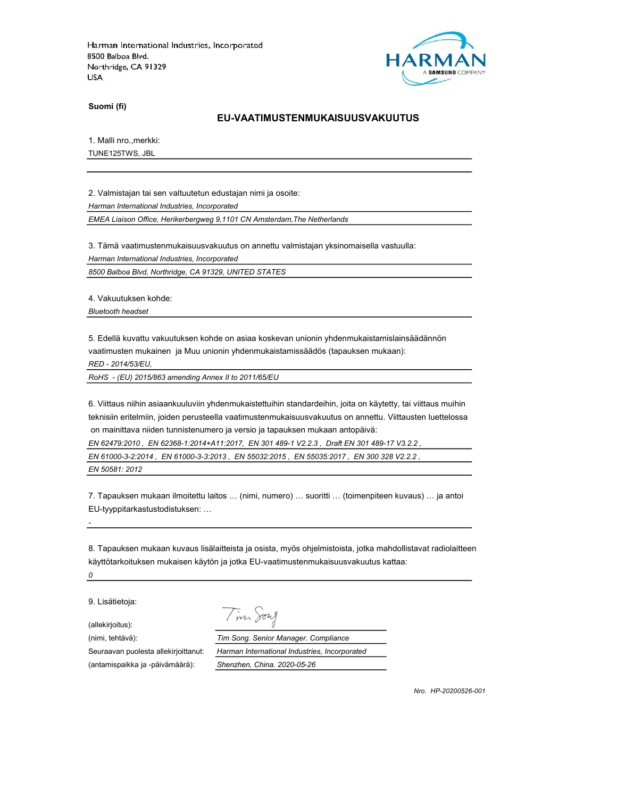

Suomi (fi)

### EU-VAATIMUSTENMUKAISUUSVAKUUTUS

1. Malli nro.,merkki:

TUNE125TWS, JBL

2. Valmistajan tai sen valtuutetun edustajan nimi ja osoite: Harman International Industries, Incorporated

EMEA Liaison Office, Herikerbergweg 9,1101 CN Amsterdam,The Netherlands

3. Tämä vaatimustenmukaisuusvakuutus on annettu valmistajan yksinomaisella vastuulla:

Harman International Industries, Incorporated

8500 Balboa Blvd, Northridge, CA 91329, UNITED STATES

4. Vakuutuksen kohde:

Bluetooth headset

5. Edellä kuvattu vakuutuksen kohde on asiaa koskevan unionin yhdenmukaistamislainsäädännön vaatimusten mukainen ja Muu unionin yhdenmukaistamissäädös (tapauksen mukaan):

RED - 2014/53/EU,

RoHS - (EU) 2015/863 amending Annex II to 2011/65/EU

6. Viittaus niihin asiaankuuluviin yhdenmukaistettuihin standardeihin, joita on käytetty, tai viittaus muihin teknisiin eritelmiin, joiden perusteella vaatimustenmukaisuusvakuutus on annettu. Viittausten luettelossa on mainittava niiden tunnistenumero ja versio ja tapauksen mukaan antopäivä:

EN 62479:2010 , EN 62368-1:2014+A11:2017, EN 301 489-1 V2.2.3 , Draft EN 301 489-17 V3.2.2 ,

EN 61000-3-2:2014 , EN 61000-3-3:2013 , EN 55032:2015 , EN 55035:2017 , EN 300 328 V2.2.2 ,

EN 50581: 2012

7. Tapauksen mukaan ilmoitettu laitos … (nimi, numero) … suoritti … (toimenpiteen kuvaus) … ja antoi EU-tyyppitarkastustodistuksen: …

8. Tapauksen mukaan kuvaus lisälaitteista ja osista, myös ohjelmistoista, jotka mahdollistavat radiolaitteen käyttötarkoituksen mukaisen käytön ja jotka EU-vaatimustenmukaisuusvakuutus kattaa:

0

-

9. Lisätietoja:

(allekirjoitus):

(nimi, tehtävä): Tim Song. Senior Manager. Compliance

Seuraavan puolesta allekirjoittanut: Harman International Industries, Incorporated (antamispaikka ja -päivämäärä): Shenzhen, China. 2020-05-26

Tim Song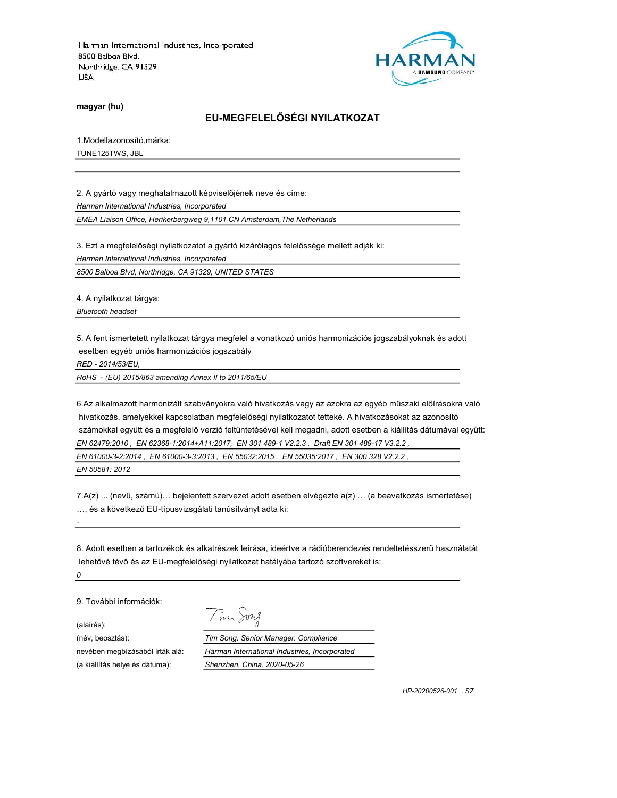

magyar (hu)

# EU-MEGFELELŐSÉGI NYILATKOZAT

1.Modellazonosító,márka:

TUNE125TWS, JBL

2. A gyártó vagy meghatalmazott képviselőjének neve és címe: Harman International Industries, Incorporated

EMEA Liaison Office, Herikerbergweg 9,1101 CN Amsterdam,The Netherlands

3. Ezt a megfelelőségi nyilatkozatot a gyártó kizárólagos felelőssége mellett adják ki: Harman International Industries, Incorporated

8500 Balboa Blvd, Northridge, CA 91329, UNITED STATES

4. A nyilatkozat tárgya:

Bluetooth headset

5. A fent ismertetett nyilatkozat tárgya megfelel a vonatkozó uniós harmonizációs jogszabályoknak és adott esetben egyéb uniós harmonizációs jogszabály

RED - 2014/53/EU,

RoHS - (EU) 2015/863 amending Annex II to 2011/65/EU

6.Az alkalmazott harmonizált szabványokra való hivatkozás vagy az azokra az egyéb műszaki előírásokra való hivatkozás, amelyekkel kapcsolatban megfelelőségi nyilatkozatot tetteké. A hivatkozásokat az azonosító számokkal együtt és a megfelelő verzió feltüntetésével kell megadni, adott esetben a kiállítás dátumával együtt: EN 62479:2010 , EN 62368-1:2014+A11:2017, EN 301 489-1 V2.2.3 , Draft EN 301 489-17 V3.2.2 ,

EN 61000-3-2:2014 , EN 61000-3-3:2013 , EN 55032:2015 , EN 55035:2017 , EN 300 328 V2.2.2 ,

EN 50581: 2012

7.A(z) ... (nevű, számú)… bejelentett szervezet adott esetben elvégezte a(z) … (a beavatkozás ismertetése) …, és a következő EU-típusvizsgálati tanúsítványt adta ki:

8. Adott esetben a tartozékok és alkatrészek leírása, ideértve a rádióberendezés rendeltetésszerű használatát lehetővé tévő és az EU-megfelelőségi nyilatkozat hatályába tartozó szoftvereket is:

0

-

9. További információk:

(aláírás):

(a kiállítás helye és dátuma): Shenzhen, China. 2020-05-26

Tim Song

(név, beosztás): Tim Song. Senior Manager. Compliance nevében megbízásából írták alá: Harman International Industries, Incorporated

HP-20200526-001 . SZ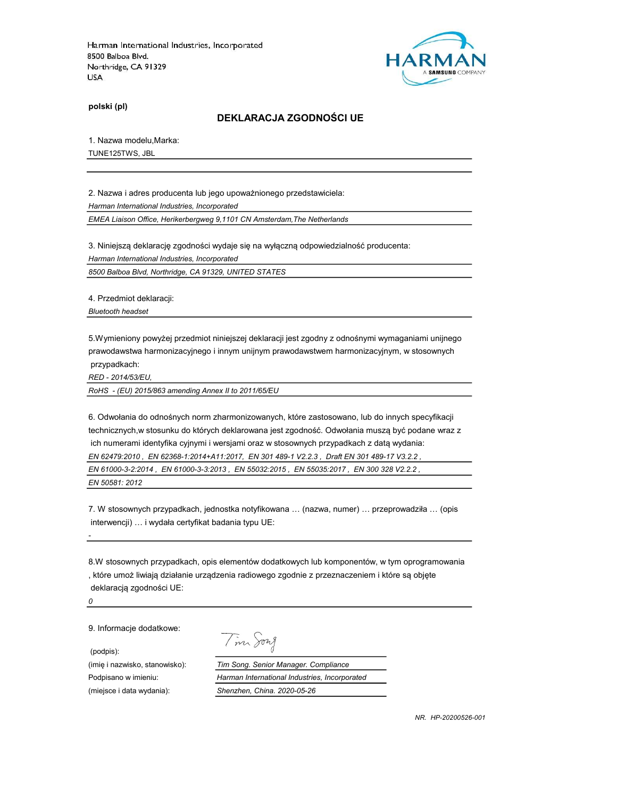

polski (pl)

### DEKLARACJA ZGODNOŚCI UE

1. Nazwa modelu,Marka:

TUNE125TWS, JBL

2. Nazwa i adres producenta lub jego upoważnionego przedstawiciela: Harman International Industries, Incorporated EMEA Liaison Office, Herikerbergweg 9,1101 CN Amsterdam,The Netherlands

3. Niniejszą deklarację zgodności wydaje się na wyłączną odpowiedzialność producenta: Harman International Industries, Incorporated

8500 Balboa Blvd, Northridge, CA 91329, UNITED STATES

4. Przedmiot deklaracji:

Bluetooth headset

5.Wymieniony powyżej przedmiot niniejszej deklaracji jest zgodny z odnośnymi wymaganiami unijnego prawodawstwa harmonizacyjnego i innym unijnym prawodawstwem harmonizacyjnym, w stosownych przypadkach:

RED - 2014/53/EU,

RoHS - (EU) 2015/863 amending Annex II to 2011/65/EU

6. Odwołania do odnośnych norm zharmonizowanych, które zastosowano, lub do innych specyfikacji technicznych,w stosunku do których deklarowana jest zgodność. Odwołania muszą być podane wraz z ich numerami identyfika cyjnymi i wersjami oraz w stosownych przypadkach z datą wydania: EN 62479:2010 , EN 62368-1:2014+A11:2017, EN 301 489-1 V2.2.3 , Draft EN 301 489-17 V3.2.2 , EN 61000-3-2:2014 , EN 61000-3-3:2013 , EN 55032:2015 , EN 55035:2017 , EN 300 328 V2.2.2 , EN 50581: 2012

7. W stosownych przypadkach, jednostka notyfikowana … (nazwa, numer) … przeprowadziła … (opis interwencji) … i wydała certyfikat badania typu UE:

8.W stosownych przypadkach, opis elementów dodatkowych lub komponentów, w tym oprogramowania , które umoż liwiają działanie urządzenia radiowego zgodnie z przeznaczeniem i które są objęte deklaracją zgodności UE:

0

-

9. Informacje dodatkowe:

(podpis):

(imię i nazwisko, stanowisko): Tim Song. Senior Manager. Compliance

Tim Song

Podpisano w imieniu: Harman International Industries, Incorporated (miejsce i data wydania): Shenzhen, China. 2020-05-26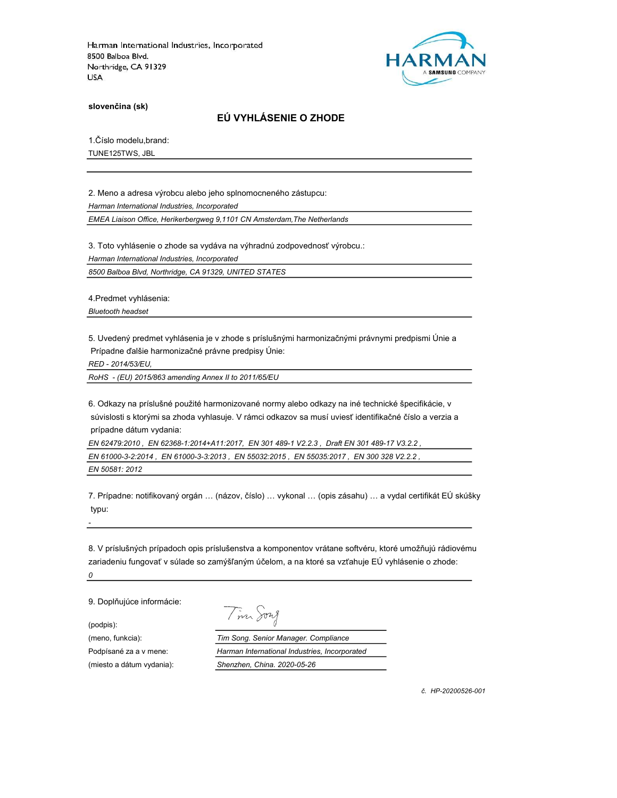

slovenčina (sk)

## EÚ VYHLÁSENIE O ZHODE

1.Číslo modelu,brand:

TUNE125TWS, JBL

2. Meno a adresa výrobcu alebo jeho splnomocneného zástupcu: Harman International Industries, Incorporated

EMEA Liaison Office, Herikerbergweg 9,1101 CN Amsterdam,The Netherlands

3. Toto vyhlásenie o zhode sa vydáva na výhradnú zodpovednosť výrobcu.:

Harman International Industries, Incorporated

8500 Balboa Blvd, Northridge, CA 91329, UNITED STATES

4.Predmet vyhlásenia:

Bluetooth headset

5. Uvedený predmet vyhlásenia je v zhode s príslušnými harmonizačnými právnymi predpismi Únie a Prípadne ďalšie harmonizačné právne predpisy Únie:

RED - 2014/53/EU,

RoHS - (EU) 2015/863 amending Annex II to 2011/65/EU

6. Odkazy na príslušné použité harmonizované normy alebo odkazy na iné technické špecifikácie, v súvislosti s ktorými sa zhoda vyhlasuje. V rámci odkazov sa musí uviesť identifikačné číslo a verzia a prípadne dátum vydania:

EN 62479:2010 , EN 62368-1:2014+A11:2017, EN 301 489-1 V2.2.3 , Draft EN 301 489-17 V3.2.2 ,

EN 61000-3-2:2014 , EN 61000-3-3:2013 , EN 55032:2015 , EN 55035:2017 , EN 300 328 V2.2.2 , EN 50581: 2012

7. Prípadne: notifikovaný orgán … (názov, číslo) … vykonal … (opis zásahu) … a vydal certifikát EÚ skúšky typu:

8. V príslušných prípadoch opis príslušenstva a komponentov vrátane softvéru, ktoré umožňujú rádiovému zariadeniu fungovať v súlade so zamýšľaným účelom, a na ktoré sa vzťahuje EÚ vyhlásenie o zhode: 0

9. Doplňujúce informácie:

(podpis):

-

Tim Song

(meno, funkcia): Tim Song. Senior Manager. Compliance Podpísané za a v mene: Harman International Industries, Incorporated (miesto a dátum vydania): Shenzhen, China. 2020-05-26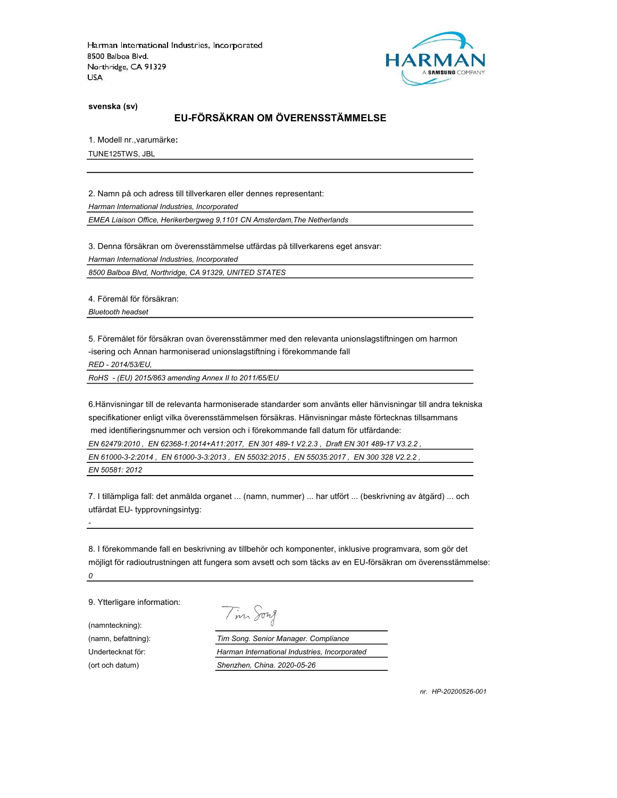

svenska (sv)

## EU-FÖRSÄKRAN OM ÖVERENSSTÄMMELSE

1. Modell nr.,varumärke:

TUNE125TWS, JBL

2. Namn på och adress till tillverkaren eller dennes representant:

Harman International Industries, Incorporated

EMEA Liaison Office, Herikerbergweg 9,1101 CN Amsterdam,The Netherlands

3. Denna försäkran om överensstämmelse utfärdas på tillverkarens eget ansvar:

Harman International Industries, Incorporated

8500 Balboa Blvd, Northridge, CA 91329, UNITED STATES

4. Föremål för försäkran: Bluetooth headset

5. Föremålet för försäkran ovan överensstämmer med den relevanta unionslagstiftningen om harmon -isering och Annan harmoniserad unionslagstiftning i förekommande fall

RED - 2014/53/EU,

RoHS - (EU) 2015/863 amending Annex II to 2011/65/EU

6.Hänvisningar till de relevanta harmoniserade standarder som använts eller hänvisningar till andra tekniska specifikationer enligt vilka överensstämmelsen försäkras. Hänvisningar måste förtecknas tillsammans med identifieringsnummer och version och i förekommande fall datum för utfärdande: EN 62479:2010 , EN 62368-1:2014+A11:2017, EN 301 489-1 V2.2.3 , Draft EN 301 489-17 V3.2.2 , EN 61000-3-2:2014 , EN 61000-3-3:2013 , EN 55032:2015 , EN 55035:2017 , EN 300 328 V2.2.2 , EN 50581: 2012

7. I tillämpliga fall: det anmälda organet ... (namn, nummer) ... har utfört ... (beskrivning av åtgärd) ... och utfärdat EU- typprovningsintyg:

8. I förekommande fall en beskrivning av tillbehör och komponenter, inklusive programvara, som gör det möjligt för radioutrustningen att fungera som avsett och som täcks av en EU-försäkran om överensstämmelse: 0

9. Ytterligare information:

(namnteckning):

-

Tim Song

(namn, befattning): Tim Song. Senior Manager. Compliance Undertecknat för: Harman International Industries, Incorporated (ort och datum) Shenzhen, China. 2020-05-26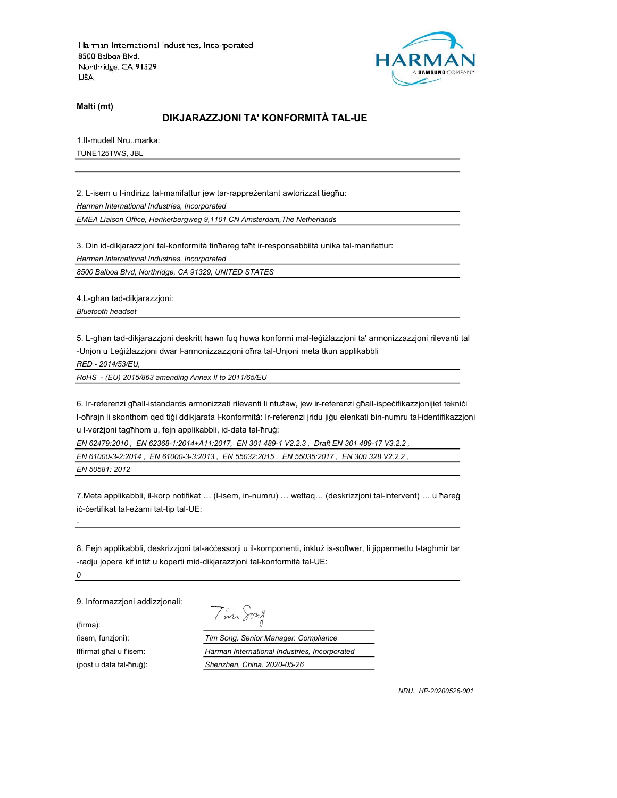

Malti (mt)

### DIKJARAZZJONI TA' KONFORMITÀ TAL-UE

1.Il-mudell Nru.,marka:

TUNE125TWS, JBL

2. L-isem u l-indirizz tal-manifattur jew tar-rappreżentant awtorizzat tiegħu: Harman International Industries, Incorporated

EMEA Liaison Office, Herikerbergweg 9,1101 CN Amsterdam,The Netherlands

3. Din id-dikjarazzjoni tal-konformità tinħareg taħt ir-responsabbiltà unika tal-manifattur:

Harman International Industries, Incorporated

8500 Balboa Blvd, Northridge, CA 91329, UNITED STATES

4.L-għan tad-dikjarazzjoni:

Bluetooth headset

5. L-għan tad-dikjarazzjoni deskritt hawn fuq huwa konformi mal-leġiżlazzjoni ta' armonizzazzjoni rilevanti tal -Unjon u Leġiżlazzjoni dwar l-armonizzazzjoni oħra tal-Unjoni meta tkun applikabbli

RED - 2014/53/EU,

RoHS - (EU) 2015/863 amending Annex II to 2011/65/EU

6. Ir-referenzi għall-istandards armonizzati rilevanti li ntużaw, jew ir-referenzi għall-ispeċifikazzjonijiet tekniċi l-oħrajn li skonthom qed tiġi ddikjarata l-konformità: Ir-referenzi jridu jiġu elenkati bin-numru tal-identifikazzjoni u l-verżjoni tagħhom u, fejn applikabbli, id-data tal-ħruġ:

EN 62479:2010 , EN 62368-1:2014+A11:2017, EN 301 489-1 V2.2.3 , Draft EN 301 489-17 V3.2.2 ,

EN 61000-3-2:2014 , EN 61000-3-3:2013 , EN 55032:2015 , EN 55035:2017 , EN 300 328 V2.2.2 ,

EN 50581: 2012

7.Meta applikabbli, il-korp notifikat … (l-isem, in-numru) … wettaq… (deskrizzjoni tal-intervent) … u ħareġ iċ-ċertifikat tal-eżami tat-tip tal-UE:

8. Fejn applikabbli, deskrizzjoni tal-aċċessorji u il-komponenti, inkluż is-softwer, li jippermettu t-tagħmir tar -radju jopera kif intiż u koperti mid-dikjarazzjoni tal-konformità tal-UE:

0

-

9. Informazzjoni addizzjonali:

(firma):

Tim Song

(isem, funzjoni): Tim Song. Senior Manager. Compliance Iffirmat għal u f'isem: Harman International Industries, Incorporated (post u data tal-ħruġ): Shenzhen, China. 2020-05-26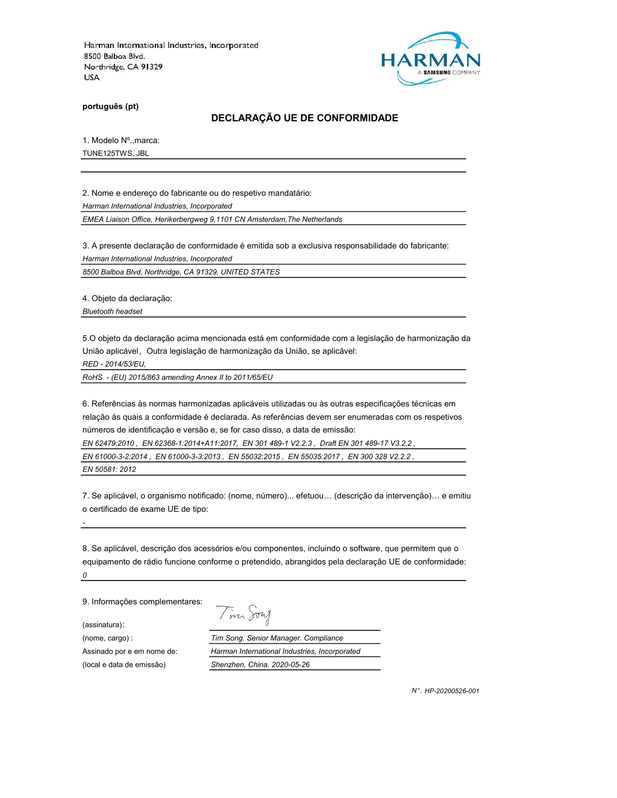

português (pt)

### DECLARAÇÃO UE DE CONFORMIDADE

1. Modelo Nº.,marca:

TUNE125TWS, JBL

2. Nome e endereço do fabricante ou do respetivo mandatário: Harman International Industries, Incorporated

EMEA Liaison Office, Herikerbergweg 9,1101 CN Amsterdam,The Netherlands

3. A presente declaração de conformidade é emitida sob a exclusiva responsabilidade do fabricante: Harman International Industries, Incorporated

8500 Balboa Blvd, Northridge, CA 91329, UNITED STATES

4. Objeto da declaração:

Bluetooth headset

5.O objeto da declaração acima mencionada está em conformidade com a legislação de harmonização da União aplicável, Outra legislação de harmonização da União, se aplicável:

RED - 2014/53/EU,

RoHS - (EU) 2015/863 amending Annex II to 2011/65/EU

6. Referências às normas harmonizadas aplicáveis utilizadas ou às outras especificações técnicas em relação às quais a conformidade é declarada. As referências devem ser enumeradas com os respetivos números de identificação e versão e, se for caso disso, a data de emissão:

EN 62479:2010 , EN 62368-1:2014+A11:2017, EN 301 489-1 V2.2.3 , Draft EN 301 489-17 V3.2.2 ,

EN 61000-3-2:2014 , EN 61000-3-3:2013 , EN 55032:2015 , EN 55035:2017 , EN 300 328 V2.2.2 ,

EN 50581: 2012

-

7. Se aplicável, o organismo notificado: (nome, número)... efetuou… (descrição da intervenção)… e emitiu o certificado de exame UE de tipo:

8. Se aplicável, descrição dos acessórios e/ou componentes, incluindo o software, que permitem que o equipamento de rádio funcione conforme o pretendido, abrangidos pela declaração UE de conformidade: 0

9. Informações complementares:

(assinatura):

Tim Song

(nome, cargo) : Tim Song. Senior Manager. Compliance Assinado por e em nome de: Harman International Industries, Incorporated (local e data de emissão) Shenzhen, China. 2020-05-26